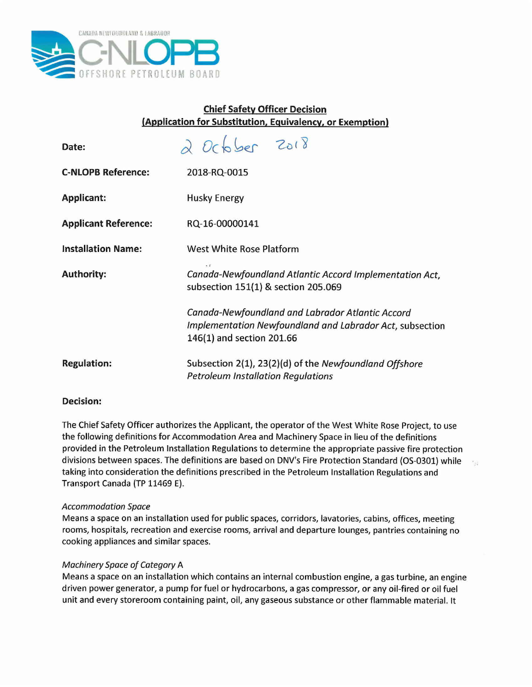

# **Chief Safety Officer Decision (Application for Substitution, Equivalency, or Exemption)**

| Date:                       | 2 October 2018                                                                                                                            |
|-----------------------------|-------------------------------------------------------------------------------------------------------------------------------------------|
| <b>C-NLOPB Reference:</b>   | 2018-RQ-0015                                                                                                                              |
| <b>Applicant:</b>           | Husky Energy                                                                                                                              |
| <b>Applicant Reference:</b> | RQ-16-00000141                                                                                                                            |
| <b>Installation Name:</b>   | West White Rose Platform                                                                                                                  |
| <b>Authority:</b>           | Canada-Newfoundland Atlantic Accord Implementation Act,<br>subsection 151(1) & section 205.069                                            |
|                             | Canada-Newfoundland and Labrador Atlantic Accord<br>Implementation Newfoundland and Labrador Act, subsection<br>146(1) and section 201.66 |
| <b>Regulation:</b>          | Subsection 2(1), 23(2)(d) of the Newfoundland Offshore<br><b>Petroleum Installation Regulations</b>                                       |

## **Decision:**

The Chief Safety Officer authorizes the Applicant, the operator of the West White Rose Project, to use the following definitions for Accommodation Area and Machinery Space in lieu of the definitions provided in the Petroleum Installation Regulations to determine the appropriate passive fire protection divisions between spaces. The definitions are based on DNV's Fire Protection Standard (OS-0301) while taking into consideration the definitions prescribed in the Petroleum Installation Regulations and Transport Canada (TP 11469 E).

 $\mathcal{L}_{\mathcal{A}}$ 

## *Accommodation Space*

Means a space on an installation used for public spaces, corridors, lavatories, cabins, offices, meeting rooms, hospitals, recreation and exercise rooms, arrival and departure lounges, pantries containing no cooking appliances and similar spaces.

## *Machinery Space of Category* A

Means a space on an installation which contains an internal combustion engine, a gas turbine, an engine driven power generator, a pump for fuel or hydrocarbons, a gas compressor, or any oil-fired or oil fuel unit and every storeroom containing paint, oil, any gaseous substance or other flammable material. It